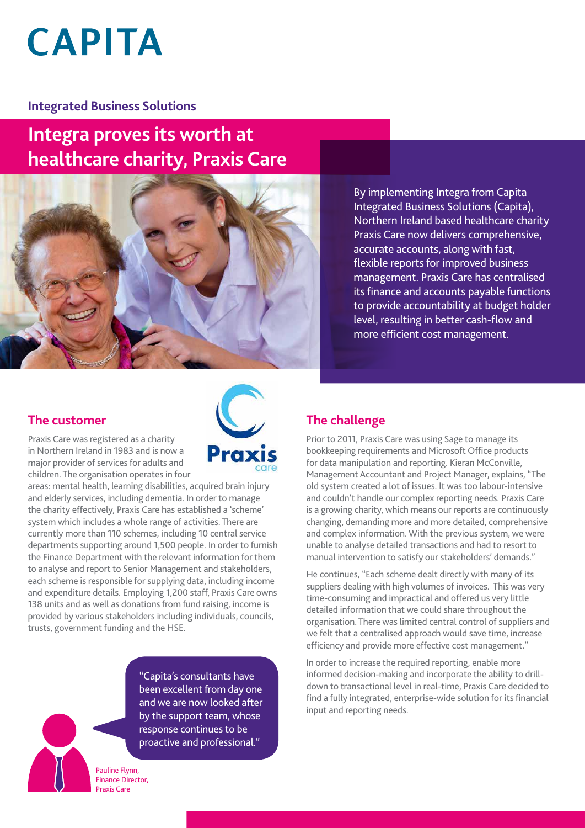# **CAPITA**

#### **Integrated Business Solutions**

**Integra proves its worth at healthcare charity, Praxis Care**



By implementing Integra from Capita Integrated Business Solutions (Capita), Northern Ireland based healthcare charity Praxis Care now delivers comprehensive, accurate accounts, along with fast, flexible reports for improved business management. Praxis Care has centralised its finance and accounts payable functions to provide accountability at budget holder level, resulting in better cash-flow and more efficient cost management.

### **The customer**

Praxis Care was registered as a charity in Northern Ireland in 1983 and is now a major provider of services for adults and children. The organisation operates in four



areas: mental health, learning disabilities, acquired brain injury and elderly services, including dementia. In order to manage the charity effectively, Praxis Care has established a 'scheme' system which includes a whole range of activities. There are currently more than 110 schemes, including 10 central service departments supporting around 1,500 people. In order to furnish the Finance Department with the relevant information for them to analyse and report to Senior Management and stakeholders, each scheme is responsible for supplying data, including income and expenditure details. Employing 1,200 staff, Praxis Care owns 138 units and as well as donations from fund raising, income is provided by various stakeholders including individuals, councils, trusts, government funding and the HSE.



Pauline Flynn, Finance Director, Praxis Care

# **The challenge**

Prior to 2011, Praxis Care was using Sage to manage its bookkeeping requirements and Microsoft Office products for data manipulation and reporting. Kieran McConville, Management Accountant and Project Manager, explains, "The old system created a lot of issues. It was too labour-intensive and couldn't handle our complex reporting needs. Praxis Care is a growing charity, which means our reports are continuously changing, demanding more and more detailed, comprehensive and complex information. With the previous system, we were unable to analyse detailed transactions and had to resort to manual intervention to satisfy our stakeholders' demands."

He continues, "Each scheme dealt directly with many of its suppliers dealing with high volumes of invoices. This was very time-consuming and impractical and offered us very little detailed information that we could share throughout the organisation. There was limited central control of suppliers and we felt that a centralised approach would save time, increase efficiency and provide more effective cost management."

In order to increase the required reporting, enable more informed decision-making and incorporate the ability to drilldown to transactional level in real-time, Praxis Care decided to find a fully integrated, enterprise-wide solution for its financial input and reporting needs.